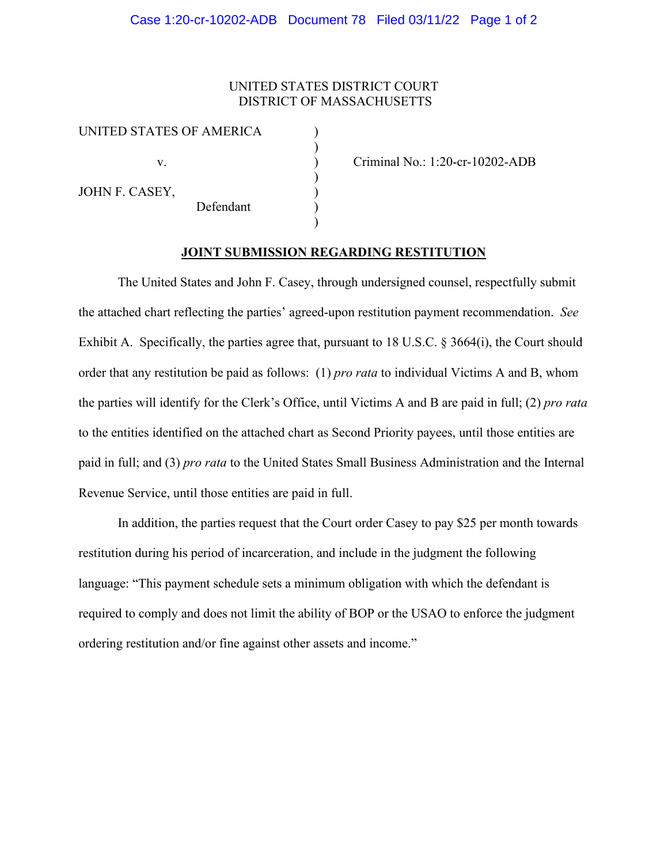## Case 1:20-cr-10202-ADB Document 78 Filed 03/11/22 Page 1 of 2

## UNITED STATES DISTRICT COURT DISTRICT OF MASSACHUSETTS

)

)

)

| UNITED STATES OF AMERICA |  |
|--------------------------|--|
|--------------------------|--|

JOHN F. CASEY,

Defendant )

v. ) Criminal No.: 1:20-cr-10202-ADB

## **JOINT SUBMISSION REGARDING RESTITUTION**

The United States and John F. Casey, through undersigned counsel, respectfully submit the attached chart reflecting the parties' agreed-upon restitution payment recommendation. *See* Exhibit A. Specifically, the parties agree that, pursuant to 18 U.S.C. § 3664(i), the Court should order that any restitution be paid as follows: (1) *pro rata* to individual Victims A and B, whom the parties will identify for the Clerk's Office, until Victims A and B are paid in full; (2) *pro rata*  to the entities identified on the attached chart as Second Priority payees, until those entities are paid in full; and (3) *pro rata* to the United States Small Business Administration and the Internal Revenue Service, until those entities are paid in full.

In addition, the parties request that the Court order Casey to pay \$25 per month towards restitution during his period of incarceration, and include in the judgment the following language: "This payment schedule sets a minimum obligation with which the defendant is required to comply and does not limit the ability of BOP or the USAO to enforce the judgment ordering restitution and/or fine against other assets and income."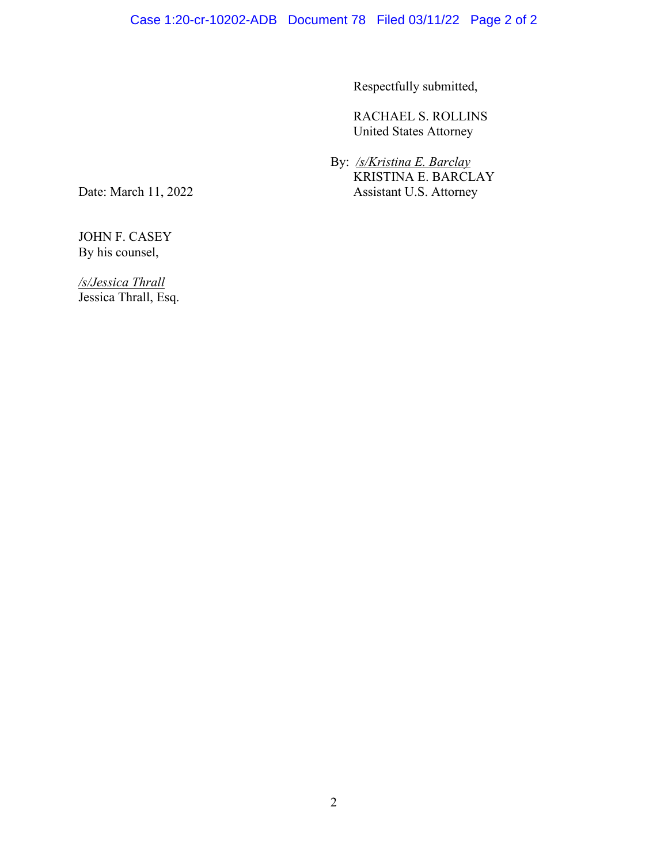Respectfully submitted,

RACHAEL S. ROLLINS United States Attorney

 By: */s/Kristina E. Barclay* KRISTINA E. BARCLAY Date: March 11, 2022 Assistant U.S. Attorney

JOHN F. CASEY By his counsel,

*/s/Jessica Thrall* Jessica Thrall, Esq.